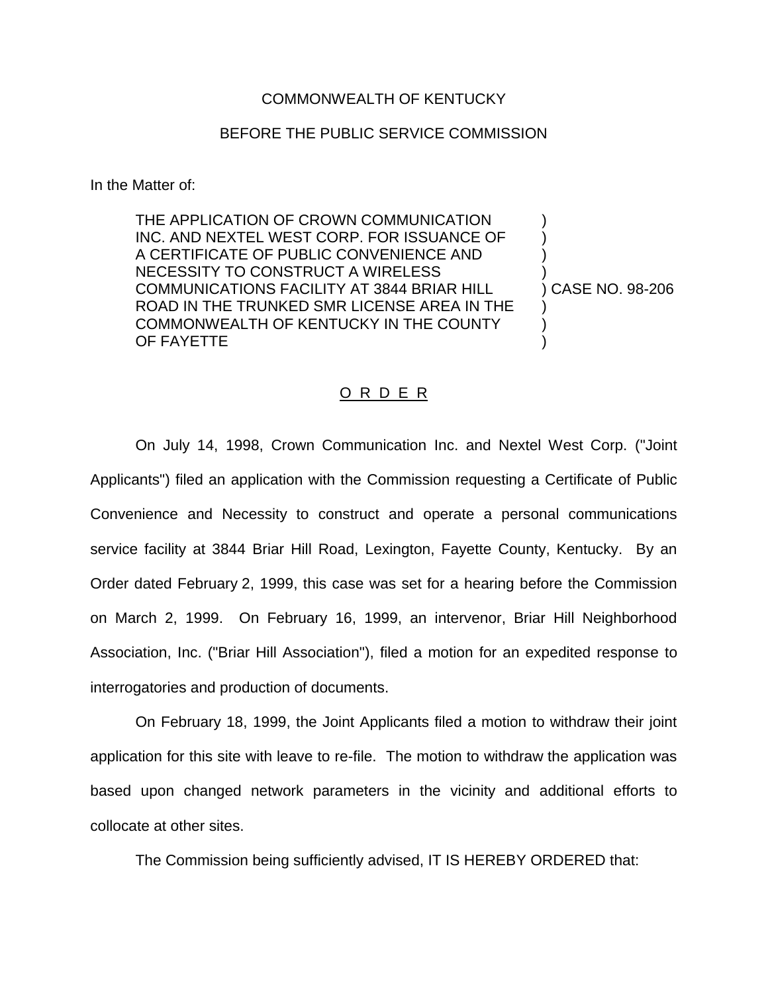## COMMONWEALTH OF KENTUCKY

## BEFORE THE PUBLIC SERVICE COMMISSION

In the Matter of:

THE APPLICATION OF CROWN COMMUNICATION INC. AND NEXTEL WEST CORP. FOR ISSUANCE OF A CERTIFICATE OF PUBLIC CONVENIENCE AND ) NECESSITY TO CONSTRUCT A WIRELESS ) COMMUNICATIONS FACILITY AT 3844 BRIAR HILL ) CASE NO. 98-206 ROAD IN THE TRUNKED SMR LICENSE AREA IN THE COMMONWEALTH OF KENTUCKY IN THE COUNTY ) OF FAYETTE )

## O R D E R

On July 14, 1998, Crown Communication Inc. and Nextel West Corp. ("Joint Applicants") filed an application with the Commission requesting a Certificate of Public Convenience and Necessity to construct and operate a personal communications service facility at 3844 Briar Hill Road, Lexington, Fayette County, Kentucky. By an Order dated February 2, 1999, this case was set for a hearing before the Commission on March 2, 1999. On February 16, 1999, an intervenor, Briar Hill Neighborhood Association, Inc. ("Briar Hill Association"), filed a motion for an expedited response to interrogatories and production of documents.

On February 18, 1999, the Joint Applicants filed a motion to withdraw their joint application for this site with leave to re-file. The motion to withdraw the application was based upon changed network parameters in the vicinity and additional efforts to collocate at other sites.

The Commission being sufficiently advised, IT IS HEREBY ORDERED that: